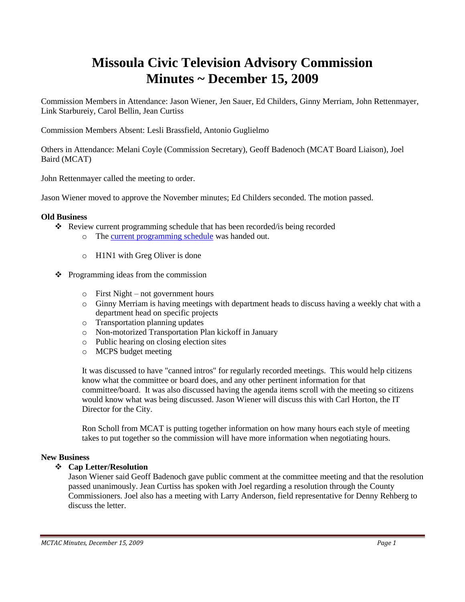# **Missoula Civic Television Advisory Commission Minutes ~ December 15, 2009**

Commission Members in Attendance: Jason Wiener, Jen Sauer, Ed Childers, Ginny Merriam, John Rettenmayer, Link Starbureiy, Carol Bellin, Jean Curtiss

Commission Members Absent: Lesli Brassfield, Antonio Guglielmo

Others in Attendance: Melani Coyle (Commission Secretary), Geoff Badenoch (MCAT Board Liaison), Joel Baird (MCAT)

John Rettenmayer called the meeting to order.

Jason Wiener moved to approve the November minutes; Ed Childers seconded. The motion passed.

## **Old Business**

- Review current programming schedule that has been recorded/is being recorded
	- o The [current programming schedule](ftp://ftp.ci.missoula.mt.us/Documents/Mayor/GCCAC/2009/091215Programming.pdf) was handed out.
	- o H1N1 with Greg Oliver is done
- $\triangle$  Programming ideas from the commission
	- o First Night not government hours
	- o Ginny Merriam is having meetings with department heads to discuss having a weekly chat with a department head on specific projects
	- o Transportation planning updates
	- o Non-motorized Transportation Plan kickoff in January
	- o Public hearing on closing election sites
	- o MCPS budget meeting

It was discussed to have "canned intros" for regularly recorded meetings. This would help citizens know what the committee or board does, and any other pertinent information for that committee/board. It was also discussed having the agenda items scroll with the meeting so citizens would know what was being discussed. Jason Wiener will discuss this with Carl Horton, the IT Director for the City.

Ron Scholl from MCAT is putting together information on how many hours each style of meeting takes to put together so the commission will have more information when negotiating hours.

#### **New Business**

# **Cap Letter/Resolution**

Jason Wiener said Geoff Badenoch gave public comment at the committee meeting and that the resolution passed unanimously. Jean Curtiss has spoken with Joel regarding a resolution through the County Commissioners. Joel also has a meeting with Larry Anderson, field representative for Denny Rehberg to discuss the letter.